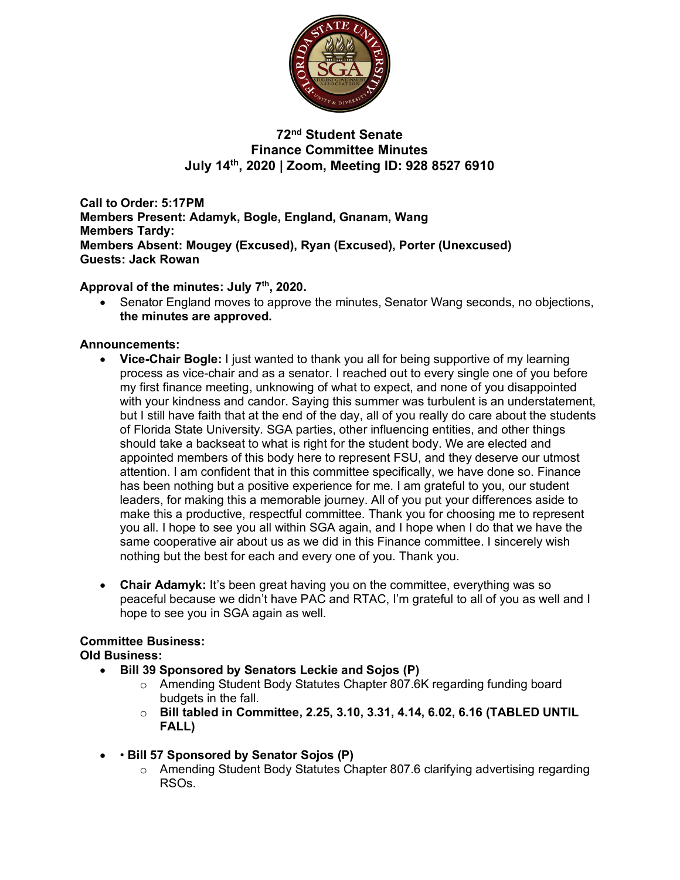

**72nd Student Senate Finance Committee Minutes July 14th, 2020 | Zoom, Meeting ID: 928 8527 6910**

**Call to Order: 5:17PM Members Present: Adamyk, Bogle, England, Gnanam, Wang Members Tardy: Members Absent: Mougey (Excused), Ryan (Excused), Porter (Unexcused) Guests: Jack Rowan**

**Approval of the minutes: July 7th, 2020.**

• Senator England moves to approve the minutes, Senator Wang seconds, no objections, **the minutes are approved.**

# **Announcements:**

- **Vice-Chair Bogle:** I just wanted to thank you all for being supportive of my learning process as vice-chair and as a senator. I reached out to every single one of you before my first finance meeting, unknowing of what to expect, and none of you disappointed with your kindness and candor. Saying this summer was turbulent is an understatement, but I still have faith that at the end of the day, all of you really do care about the students of Florida State University. SGA parties, other influencing entities, and other things should take a backseat to what is right for the student body. We are elected and appointed members of this body here to represent FSU, and they deserve our utmost attention. I am confident that in this committee specifically, we have done so. Finance has been nothing but a positive experience for me. I am grateful to you, our student leaders, for making this a memorable journey. All of you put your differences aside to make this a productive, respectful committee. Thank you for choosing me to represent you all. I hope to see you all within SGA again, and I hope when I do that we have the same cooperative air about us as we did in this Finance committee. I sincerely wish nothing but the best for each and every one of you. Thank you.
- **Chair Adamyk:** It's been great having you on the committee, everything was so peaceful because we didn't have PAC and RTAC, I'm grateful to all of you as well and I hope to see you in SGA again as well.

## **Committee Business:**

**Old Business:** 

- **Bill 39 Sponsored by Senators Leckie and Sojos (P)**
	- o Amending Student Body Statutes Chapter 807.6K regarding funding board budgets in the fall.
	- o **Bill tabled in Committee, 2.25, 3.10, 3.31, 4.14, 6.02, 6.16 (TABLED UNTIL FALL)**
- • **Bill 57 Sponsored by Senator Sojos (P)**
	- o Amending Student Body Statutes Chapter 807.6 clarifying advertising regarding RSOs.